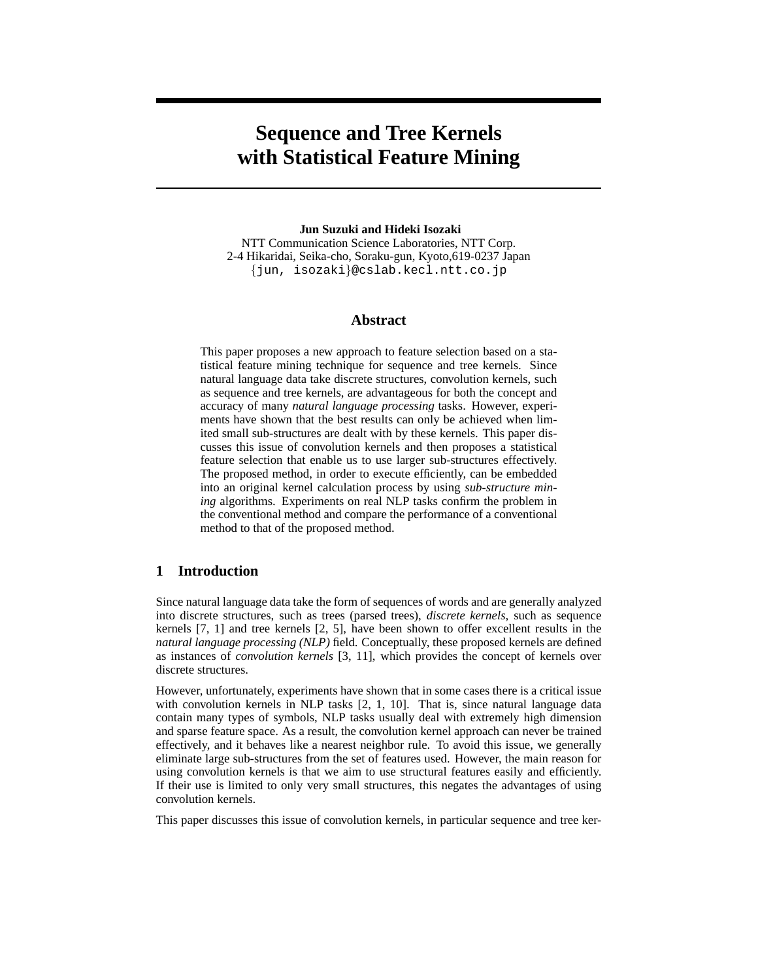# **Sequence and Tree Kernels with Statistical Feature Mining**

**Jun Suzuki and Hideki Isozaki** NTT Communication Science Laboratories, NTT Corp.

2-4 Hikaridai, Seika-cho, Soraku-gun, Kyoto,619-0237 Japan {jun, isozaki}@cslab.kecl.ntt.co.jp

## **Abstract**

This paper proposes a new approach to feature selection based on a statistical feature mining technique for sequence and tree kernels. Since natural language data take discrete structures, convolution kernels, such as sequence and tree kernels, are advantageous for both the concept and accuracy of many *natural language processing* tasks. However, experiments have shown that the best results can only be achieved when limited small sub-structures are dealt with by these kernels. This paper discusses this issue of convolution kernels and then proposes a statistical feature selection that enable us to use larger sub-structures effectively. The proposed method, in order to execute efficiently, can be embedded into an original kernel calculation process by using *sub-structure mining* algorithms. Experiments on real NLP tasks confirm the problem in the conventional method and compare the performance of a conventional method to that of the proposed method.

# **1 Introduction**

Since natural language data take the form of sequences of words and are generally analyzed into discrete structures, such as trees (parsed trees), *discrete kernels*, such as sequence kernels [7, 1] and tree kernels [2, 5], have been shown to offer excellent results in the *natural language processing (NLP)* field. Conceptually, these proposed kernels are defined as instances of *convolution kernels* [3, 11], which provides the concept of kernels over discrete structures.

However, unfortunately, experiments have shown that in some cases there is a critical issue with convolution kernels in NLP tasks [2, 1, 10]. That is, since natural language data contain many types of symbols, NLP tasks usually deal with extremely high dimension and sparse feature space. As a result, the convolution kernel approach can never be trained effectively, and it behaves like a nearest neighbor rule. To avoid this issue, we generally eliminate large sub-structures from the set of features used. However, the main reason for using convolution kernels is that we aim to use structural features easily and efficiently. If their use is limited to only very small structures, this negates the advantages of using convolution kernels.

This paper discusses this issue of convolution kernels, in particular sequence and tree ker-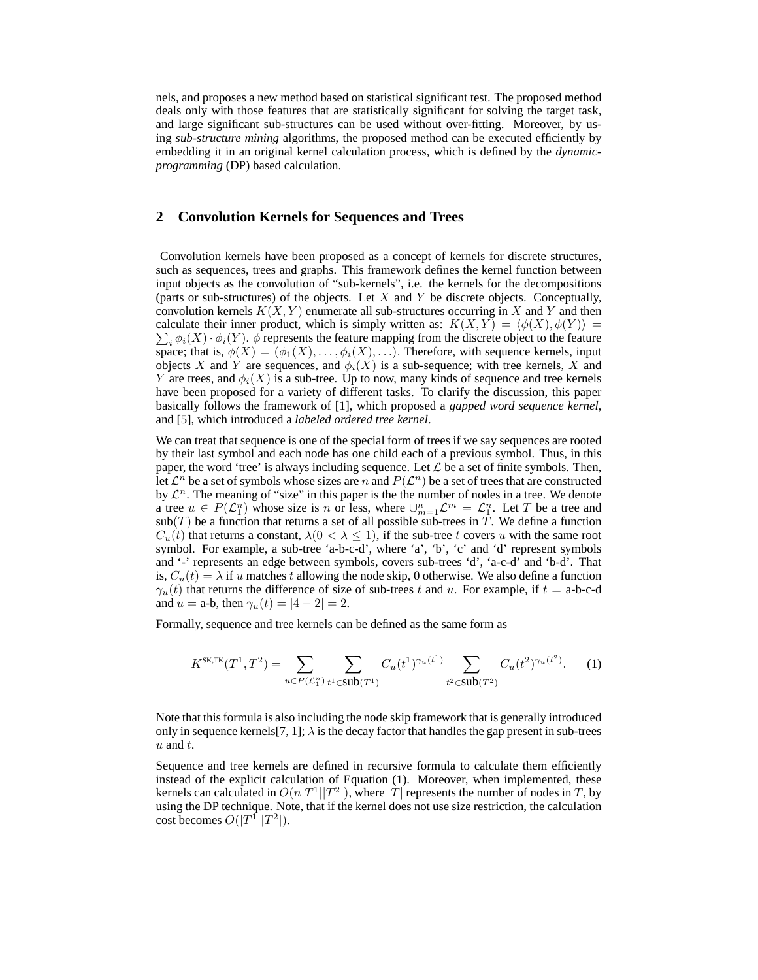nels, and proposes a new method based on statistical significant test. The proposed method deals only with those features that are statistically significant for solving the target task, and large significant sub-structures can be used without over-fitting. Moreover, by using *sub-structure mining* algorithms, the proposed method can be executed efficiently by embedding it in an original kernel calculation process, which is defined by the *dynamicprogramming* (DP) based calculation.

#### **2 Convolution Kernels for Sequences and Trees**

Convolution kernels have been proposed as a concept of kernels for discrete structures, such as sequences, trees and graphs. This framework defines the kernel function between input objects as the convolution of "sub-kernels", i.e. the kernels for the decompositions (parts or sub-structures) of the objects. Let  $X$  and  $Y$  be discrete objects. Conceptually, convolution kernels  $K(X, Y)$  enumerate all sub-structures occurring in X and Y and then calculate their inner product, which is simply written as:  $K(X,Y) = \langle \phi(X), \phi(Y) \rangle =$  $i_{\phi_i} \phi_i(X) \cdot \phi_i(Y)$ .  $\phi$  represents the feature mapping from the discrete object to the feature space; that is,  $\phi(X) = (\phi_1(X), \dots, \phi_i(X), \dots)$ . Therefore, with sequence kernels, input objects X and Y are sequences, and  $\phi_i(X)$  is a sub-sequence; with tree kernels, X and Y are trees, and  $\phi_i(X)$  is a sub-tree. Up to now, many kinds of sequence and tree kernels have been proposed for a variety of different tasks. To clarify the discussion, this paper basically follows the framework of [1], which proposed a *gapped word sequence kernel*, and [5], which introduced a *labeled ordered tree kernel*.

We can treat that sequence is one of the special form of trees if we say sequences are rooted by their last symbol and each node has one child each of a previous symbol. Thus, in this paper, the word 'tree' is always including sequence. Let  $\mathcal L$  be a set of finite symbols. Then, let  $\mathcal{L}^n$  be a set of symbols whose sizes are n and  $P(\mathcal{L}^n)$  be a set of trees that are constructed by  $\mathcal{L}^n$ . The meaning of "size" in this paper is the the number of nodes in a tree. We denote a tree  $u \in P(\mathcal{L}_1^n)$  whose size is n or less, where  $\cup_{m=1}^n \mathcal{L}^m = \mathcal{L}_1^n$ . Let T be a tree and  $sub(T)$  be a function that returns a set of all possible sub-trees in T. We define a function  $C_u(t)$  that returns a constant,  $\lambda(0 < \lambda \leq 1)$ , if the sub-tree t covers u with the same root symbol. For example, a sub-tree 'a-b-c-d', where 'a', 'b', 'c' and 'd' represent symbols and '-' represents an edge between symbols, covers sub-trees 'd', 'a-c-d' and 'b-d'. That is,  $C_u(t) = \lambda$  if u matches t allowing the node skip, 0 otherwise. We also define a function  $\gamma_u(t)$  that returns the difference of size of sub-trees t and u. For example, if  $t =$  a-b-c-d and  $u = a-b$ , then  $\gamma_u(t) = |4 - 2| = 2$ .

Formally, sequence and tree kernels can be defined as the same form as

$$
K^{\text{SK,TK}}(T^1, T^2) = \sum_{u \in P(\mathcal{L}_1^n)} \sum_{t^1 \in \text{sub}(T^1)} C_u(t^1)^{\gamma_u(t^1)} \sum_{t^2 \in \text{sub}(T^2)} C_u(t^2)^{\gamma_u(t^2)}.
$$
 (1)

Note that this formula is also including the node skip framework that is generally introduced only in sequence kernels [7, 1];  $\lambda$  is the decay factor that handles the gap present in sub-trees  $u$  and  $t$ .

Sequence and tree kernels are defined in recursive formula to calculate them efficiently instead of the explicit calculation of Equation (1). Moreover, when implemented, these kernels can calculated in  $O(n|T^1||T^2|)$ , where  $|T|$  represents the number of nodes in T, by using the DP technique. Note, that if the kernel does not use size restriction, the calculation cost becomes  $O(|T^1||T^2|)$ .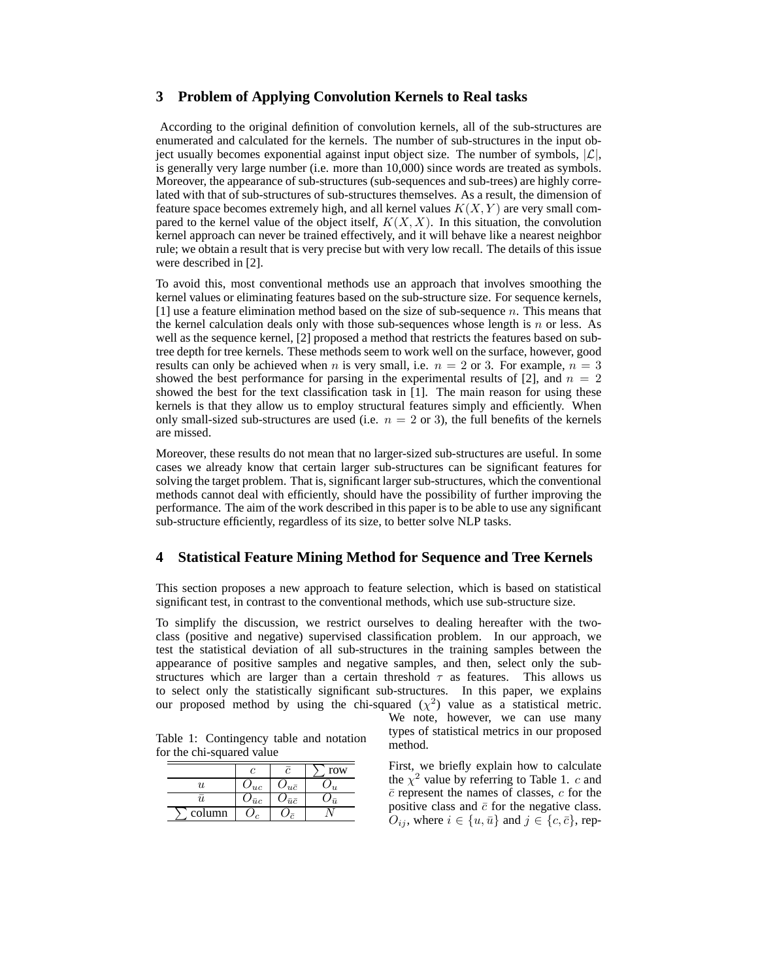#### **3 Problem of Applying Convolution Kernels to Real tasks**

According to the original definition of convolution kernels, all of the sub-structures are enumerated and calculated for the kernels. The number of sub-structures in the input object usually becomes exponential against input object size. The number of symbols,  $|\mathcal{L}|$ , is generally very large number (i.e. more than 10,000) since words are treated as symbols. Moreover, the appearance of sub-structures (sub-sequences and sub-trees) are highly correlated with that of sub-structures of sub-structures themselves. As a result, the dimension of feature space becomes extremely high, and all kernel values  $K(X, Y)$  are very small compared to the kernel value of the object itself,  $K(X, X)$ . In this situation, the convolution kernel approach can never be trained effectively, and it will behave like a nearest neighbor rule; we obtain a result that is very precise but with very low recall. The details of this issue were described in [2].

To avoid this, most conventional methods use an approach that involves smoothing the kernel values or eliminating features based on the sub-structure size. For sequence kernels,  $[1]$  use a feature elimination method based on the size of sub-sequence n. This means that the kernel calculation deals only with those sub-sequences whose length is  $n$  or less. As well as the sequence kernel, [2] proposed a method that restricts the features based on subtree depth for tree kernels. These methods seem to work well on the surface, however, good results can only be achieved when n is very small, i.e.  $n = 2$  or 3. For example,  $n = 3$ showed the best performance for parsing in the experimental results of [2], and  $n = 2$ showed the best for the text classification task in [1]. The main reason for using these kernels is that they allow us to employ structural features simply and efficiently. When only small-sized sub-structures are used (i.e.  $n = 2$  or 3), the full benefits of the kernels are missed.

Moreover, these results do not mean that no larger-sized sub-structures are useful. In some cases we already know that certain larger sub-structures can be significant features for solving the target problem. That is, significant larger sub-structures, which the conventional methods cannot deal with efficiently, should have the possibility of further improving the performance. The aim of the work described in this paper is to be able to use any significant sub-structure efficiently, regardless of its size, to better solve NLP tasks.

#### **4 Statistical Feature Mining Method for Sequence and Tree Kernels**

This section proposes a new approach to feature selection, which is based on statistical significant test, in contrast to the conventional methods, which use sub-structure size.

To simplify the discussion, we restrict ourselves to dealing hereafter with the twoclass (positive and negative) supervised classification problem. In our approach, we test the statistical deviation of all sub-structures in the training samples between the appearance of positive samples and negative samples, and then, select only the substructures which are larger than a certain threshold  $\tau$  as features. This allows us to select only the statistically significant sub-structures. In this paper, we explains our proposed method by using the chi-squared  $(\chi^2)$  value as a statistical metric.

Table 1: Contingency table and notation for the chi-squared value

| $\alpha$ and $\alpha$ $\alpha$ and $\alpha$ and $\alpha$ |                     |                  |                |  |  |  |  |  |
|----------------------------------------------------------|---------------------|------------------|----------------|--|--|--|--|--|
|                                                          |                     |                  | row            |  |  |  |  |  |
| $\boldsymbol{\mathit{u}}$                                | $U_{uc}$            | $u\bar{c}$       | $\overline{u}$ |  |  |  |  |  |
| $\boldsymbol{\mathit{u}}$                                | $\omega_{\bar{u}c}$ | $\bar{u}\bar{c}$ | ū              |  |  |  |  |  |
| column                                                   |                     | $\overline{a}$   |                |  |  |  |  |  |

We note, however, we can use many types of statistical metrics in our proposed method.

First, we briefly explain how to calculate the  $\chi^2$  value by referring to Table 1. c and  $\bar{c}$  represent the names of classes,  $c$  for the positive class and  $\bar{c}$  for the negative class.  $O_{ij}$ , where  $i \in \{u, \bar{u}\}\$ and  $j \in \{c, \bar{c}\}\$ , rep-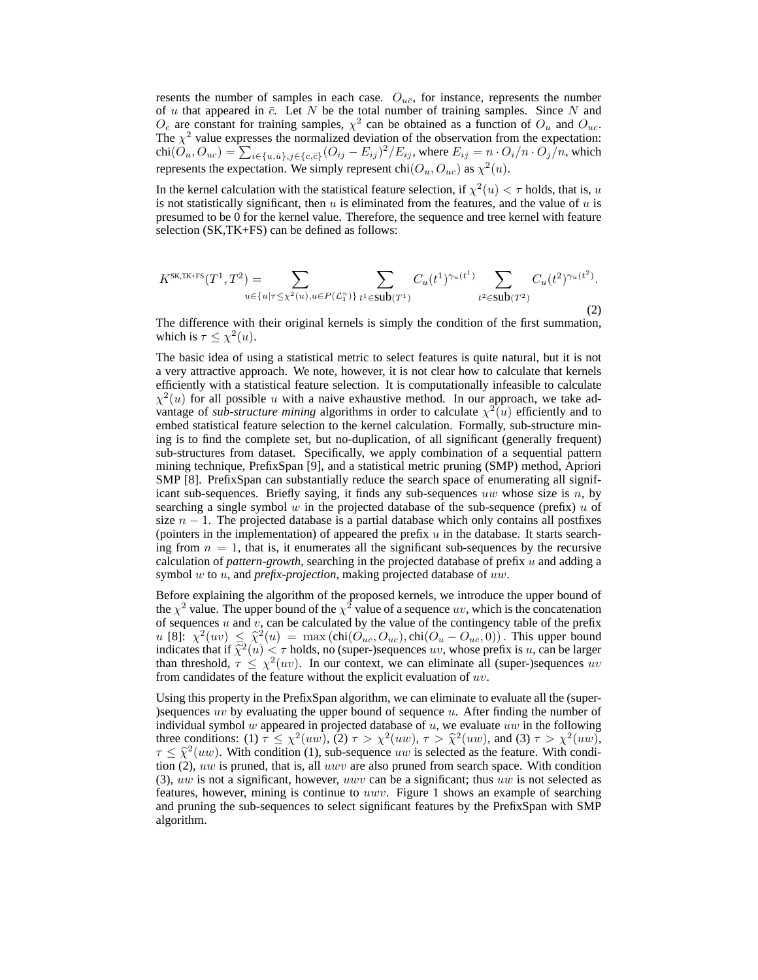resents the number of samples in each case.  $O_{u\bar{c}}$ , for instance, represents the number of  $u$  that appeared in  $\bar{c}$ . Let  $N$  be the total number of training samples. Since  $N$  and  $O_c$  are constant for training samples,  $\chi^2$  can be obtained as a function of  $O_u$  and  $O_{uc}$ . The  $\chi^2$  value expresses the normalized deviation of the observation from the expectation:<br>chi( $O_u, O_{uc}$ ) =  $\sum_{i \in \{u, \bar{u}\}, j \in \{c, \bar{c}\}} (O_{ij} - E_{ij})^2 / E_{ij}$ , where  $E_{ij} = n \cdot O_i / n \cdot O_j / n$ , which represents the expectation. We simply represent chi $(O_u, O_{uc})$  as  $\chi^2(u)$ .

In the kernel calculation with the statistical feature selection, if  $\chi^2(u) < \tau$  holds, that is, u is not statistically significant, then  $u$  is eliminated from the features, and the value of  $u$  is presumed to be 0 for the kernel value. Therefore, the sequence and tree kernel with feature selection (SK,TK+FS) can be defined as follows:

$$
K^{\text{SK,TK+FS}}(T^1, T^2) = \sum_{u \in \{u | \tau \le \chi^2(u), u \in P(\mathcal{L}_1^n)\}} \sum_{t^1 \in \text{sub}(T^1)} C_u(t^1)^{\gamma_u(t^1)} \sum_{t^2 \in \text{sub}(T^2)} C_u(t^2)^{\gamma_u(t^2)}.
$$
\n(2)

The difference with their original kernels is simply the condition of the first summation, which is  $\tau \leq \chi^2(u)$ .

The basic idea of using a statistical metric to select features is quite natural, but it is not a very attractive approach. We note, however, it is not clear how to calculate that kernels efficiently with a statistical feature selection. It is computationally infeasible to calculate  $\chi^2(u)$  for all possible u with a naive exhaustive method. In our approach, we take advantage of *sub-structure mining* algorithms in order to calculate  $\chi^2(u)$  efficiently and to embed statistical feature selection to the kernel calculation. Formally, sub-structure mining is to find the complete set, but no-duplication, of all significant (generally frequent) sub-structures from dataset. Specifically, we apply combination of a sequential pattern mining technique, PrefixSpan [9], and a statistical metric pruning (SMP) method, Apriori SMP [8]. PrefixSpan can substantially reduce the search space of enumerating all significant sub-sequences. Briefly saying, it finds any sub-sequences uw whose size is  $n$ , by searching a single symbol  $w$  in the projected database of the sub-sequence (prefix)  $u$  of size  $n - 1$ . The projected database is a partial database which only contains all postfixes (pointers in the implementation) of appeared the prefix  $u$  in the database. It starts searching from  $n = 1$ , that is, it enumerates all the significant sub-sequences by the recursive calculation of *pattern-growth*, searching in the projected database of prefix u and adding a symbol w to u, and *prefix-projection*, making projected database of uw.

Before explaining the algorithm of the proposed kernels, we introduce the upper bound of the  $\chi^2$  value. The upper bound of the  $\chi^2$  value of a sequence uv, which is the concatenation of sequences  $u$  and  $v$ , can be calculated by the value of the contingency table of the prefix u [8]:  $\chi^2(uv) \leq \hat{\chi}^2(u) = \max(\text{chi}(O_{uc}, O_{uc}), \text{chi}(O_u - O_{uc}, 0))$ . This upper bound indicates that if  $\hat{\chi}^2(u) < \tau$  holds, no (super-)sequences uv, whose prefix is u, can be larger than threshold,  $\tau \leq \chi^2(uv)$ . In our context, we can eliminate all (super-)sequences uv from candidates of the feature without the explicit evaluation of  $uv$ .

Using this property in the PrefixSpan algorithm, we can eliminate to evaluate all the (super- )sequences  $uv$  by evaluating the upper bound of sequence  $u$ . After finding the number of individual symbol w appeared in projected database of  $u$ , we evaluate  $uw$  in the following three conditions: (1)  $\tau \leq \chi^2(uw)$ , (2)  $\tau > \chi^2(uw)$ ,  $\tau > \hat{\chi}^2(uw)$ , and (3)  $\tau > \chi^2(uw)$ ,  $\tau \leq \hat{\chi}^2(uw)$ . With condition (1), sub-sequence uw is selected as the feature. With condition (2),  $uw$  is pruned, that is, all  $uwv$  are also pruned from search space. With condition (3), uw is not a significant, however, uwv can be a significant; thus uw is not selected as features, however, mining is continue to uwv. Figure 1 shows an example of searching and pruning the sub-sequences to select significant features by the PrefixSpan with SMP algorithm.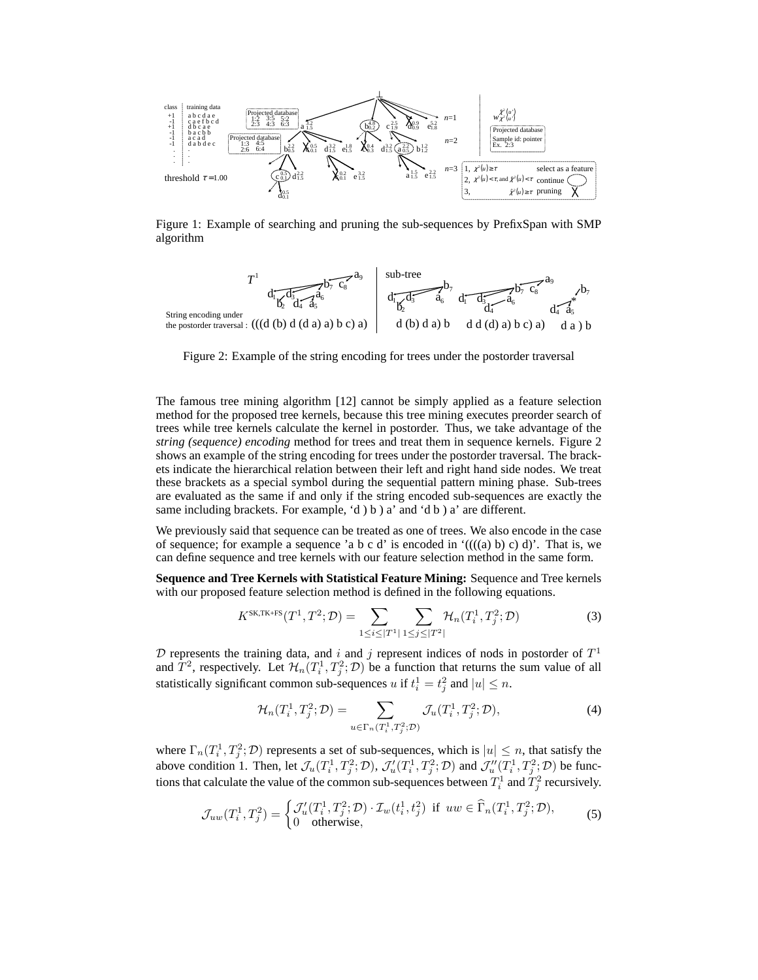

Figure 1: Example of searching and pruning the sub-sequences by PrefixSpan with SMP algorithm



Figure 2: Example of the string encoding for trees under the postorder traversal

The famous tree mining algorithm [12] cannot be simply applied as a feature selection method for the proposed tree kernels, because this tree mining executes preorder search of trees while tree kernels calculate the kernel in postorder. Thus, we take advantage of the *string (sequence) encoding* method for trees and treat them in sequence kernels. Figure 2 shows an example of the string encoding for trees under the postorder traversal. The brackets indicate the hierarchical relation between their left and right hand side nodes. We treat these brackets as a special symbol during the sequential pattern mining phase. Sub-trees are evaluated as the same if and only if the string encoded sub-sequences are exactly the same including brackets. For example, 'd ) b ) a' and 'd b ) a' are different.

We previously said that sequence can be treated as one of trees. We also encode in the case of sequence; for example a sequence 'a b c d' is encoded in  $((((a) b) c) d)$ '. That is, we can define sequence and tree kernels with our feature selection method in the same form.

**Sequence and Tree Kernels with Statistical Feature Mining:** Sequence and Tree kernels with our proposed feature selection method is defined in the following equations.

$$
K^{\text{SK,TK+FS}}(T^1, T^2; \mathcal{D}) = \sum_{1 \le i \le |T^1|} \sum_{1 \le j \le |T^2|} \mathcal{H}_n(T_i^1, T_j^2; \mathcal{D})
$$
(3)

 $D$  represents the training data, and i and j represent indices of nods in postorder of  $T<sup>1</sup>$ and  $\hat{T}^2$ , respectively. Let  $\mathcal{H}_n(T_i^1, T_j^2; \mathcal{D})$  be a function that returns the sum value of all statistically significant common sub-sequences u if  $t_i^1 = t_j^2$  and  $|u| \leq n$ .

$$
\mathcal{H}_n(T_i^1, T_j^2; \mathcal{D}) = \sum_{u \in \Gamma_n(T_i^1, T_j^2; \mathcal{D})} \mathcal{J}_u(T_i^1, T_j^2; \mathcal{D}),\tag{4}
$$

where  $\Gamma_n(T_i^1, T_j^2; \mathcal{D})$  represents a set of sub-sequences, which is  $|u| \leq n$ , that satisfy the above condition 1. Then, let  $\mathcal{J}_u(T_i^1, T_j^2; \mathcal{D}), \mathcal{J}'_u(T_i^1, T_j^2; \mathcal{D})$  and  $\mathcal{J}''_u(T_i^1, T_j^2; \mathcal{D})$  be functions that calculate the value of the common sub-sequences between  $T_i^1$  and  $T_j^2$  recursively.

$$
\mathcal{J}_{uw}(T_i^1, T_j^2) = \begin{cases} \mathcal{J}'_u(T_i^1, T_j^2; \mathcal{D}) \cdot \mathcal{I}_w(t_i^1, t_j^2) & \text{if } uw \in \widehat{\Gamma}_n(T_i^1, T_j^2; \mathcal{D}), \\ 0 & \text{otherwise,} \end{cases}
$$
(5)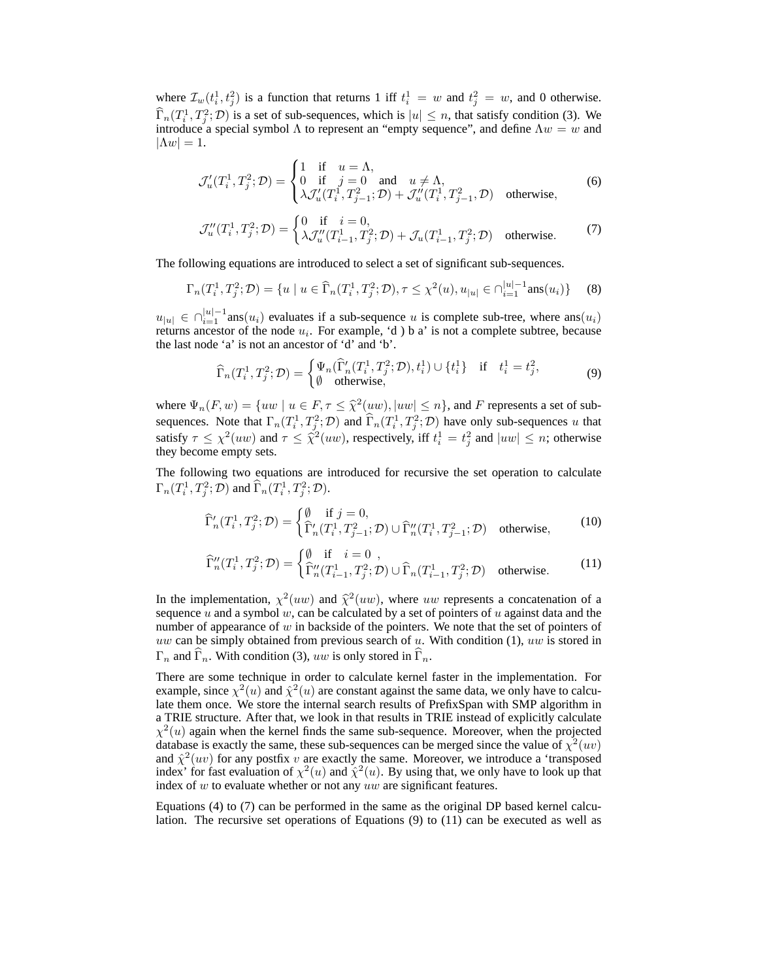where  $\mathcal{I}_w(t_i^1, t_j^2)$  is a function that returns 1 iff  $t_i^1 = w$  and  $t_j^2 = w$ , and 0 otherwise.  $\widehat{\Gamma}_n(T_i^1, T_j^2; \mathcal{D})$  is a set of sub-sequences, which is  $|u| \leq n$ , that satisfy condition (3). We introduce a special symbol  $\Lambda$  to represent an "empty sequence", and define  $\Lambda w = w$  and  $|\Lambda w| = 1.$ 

$$
\mathcal{J}'_u(T_i^1, T_j^2; \mathcal{D}) = \begin{cases} 1 & \text{if } u = \Lambda, \\ 0 & \text{if } j = 0 \\ \lambda \mathcal{J}'_u(T_i^1, T_{j-1}^2; \mathcal{D}) + \mathcal{J}''_u(T_i^1, T_{j-1}^2, \mathcal{D}) & \text{otherwise,} \end{cases}
$$
(6)

$$
\mathcal{J}_u''(T_i^1, T_j^2; \mathcal{D}) = \begin{cases} 0 & \text{if } i = 0, \\ \lambda \mathcal{J}_u''(T_{i-1}^1, T_j^2; \mathcal{D}) + \mathcal{J}_u(T_{i-1}^1, T_j^2; \mathcal{D}) & \text{otherwise.} \end{cases}
$$
 (7)

The following equations are introduced to select a set of significant sub-sequences.

$$
\Gamma_n(T_i^1, T_j^2; \mathcal{D}) = \{ u \mid u \in \widehat{\Gamma}_n(T_i^1, T_j^2; \mathcal{D}), \tau \leq \chi^2(u), u_{|u|} \in \cap_{i=1}^{|u|-1} \text{ans}(u_i) \} \tag{8}
$$

 $u_{|u|} \in \bigcap_{i=1}^{|u|-1}$ ans $(u_i)$  evaluates if a sub-sequence u is complete sub-tree, where ans $(u_i)$ returns ancestor of the node  $u_i$ . For example, 'd) b a' is not a complete subtree, because the last node 'a' is not an ancestor of 'd' and 'b'.

$$
\widehat{\Gamma}_n(T_i^1, T_j^2; \mathcal{D}) = \begin{cases} \Psi_n(\widehat{\Gamma}'_n(T_i^1, T_j^2; \mathcal{D}), t_i^1) \cup \{t_i^1\} & \text{if } t_i^1 = t_j^2, \\ \emptyset & \text{otherwise,} \end{cases}
$$
(9)

where  $\Psi_n(F, w) = \{uw \mid u \in F, \tau \leq \hat{\chi}^2(uw), |uw| \leq n\}$ , and F represents a set of subsequences. Note that  $\Gamma_n(T_i^1, T_j^2; \mathcal{D})$  and  $\widehat{\Gamma}_n(T_i^1, T_j^2; \mathcal{D})$  have only sub-sequences u that satisfy  $\tau \leq \chi^2(uw)$  and  $\tau \leq \tilde{\chi}^2(uw)$ , respectively, iff  $t_i^1 = t_j^2$  and  $|uw| \leq n$ ; otherwise they become empty sets.

The following two equations are introduced for recursive the set operation to calculate  $\Gamma_n(T_i^1,T_j^2; \mathcal{D})$  and  $\widehat{\Gamma}_n(T_i^1,T_j^2; \mathcal{D})$ .

$$
\widehat{\Gamma}'_n(T_i^1, T_j^2; \mathcal{D}) = \begin{cases} \emptyset & \text{if } j = 0, \\ \widehat{\Gamma}'_n(T_i^1, T_{j-1}^2; \mathcal{D}) \cup \widehat{\Gamma}''_n(T_i^1, T_{j-1}^2; \mathcal{D}) & \text{otherwise,} \end{cases}
$$
(10)

$$
\widehat{\Gamma}_{n}^{\prime\prime}(T_{i}^{1},T_{j}^{2};\mathcal{D}) = \begin{cases} \emptyset & \text{if } i = 0, \\ \widehat{\Gamma}_{n}^{\prime\prime}(T_{i-1}^{1},T_{j}^{2};\mathcal{D}) \cup \widehat{\Gamma}_{n}(T_{i-1}^{1},T_{j}^{2};\mathcal{D}) & \text{otherwise.} \end{cases}
$$
\n(11)

In the implementation,  $\chi^2(uw)$  and  $\hat{\chi}^2(uw)$ , where uw represents a concatenation of a sequence  $u$  and a symbol  $w$ , can be calculated by a set of pointers of  $u$  against data and the number of appearance of  $w$  in backside of the pointers. We note that the set of pointers of uw can be simply obtained from previous search of  $u$ . With condition (1), uw is stored in  $\Gamma_n$  and  $\Gamma_n$ . With condition (3), uw is only stored in  $\Gamma_n$ .

There are some technique in order to calculate kernel faster in the implementation. For example, since  $\chi^2(u)$  and  $\hat{\chi}^2(u)$  are constant against the same data, we only have to calculate them once. We store the internal search results of PrefixSpan with SMP algorithm in a TRIE structure. After that, we look in that results in TRIE instead of explicitly calculate  $\chi^2(u)$  again when the kernel finds the same sub-sequence. Moreover, when the projected database is exactly the same, these sub-sequences can be merged since the value of  $\chi^2(w)$ and  $\hat{\chi}^2(uv)$  for any postfix v are exactly the same. Moreover, we introduce a 'transposed index' for fast evaluation of  $\chi^2(u)$  and  $\hat{\chi}^2(u)$ . By using that, we only have to look up that index of  $w$  to evaluate whether or not any  $uw$  are significant features.

Equations (4) to (7) can be performed in the same as the original DP based kernel calculation. The recursive set operations of Equations (9) to (11) can be executed as well as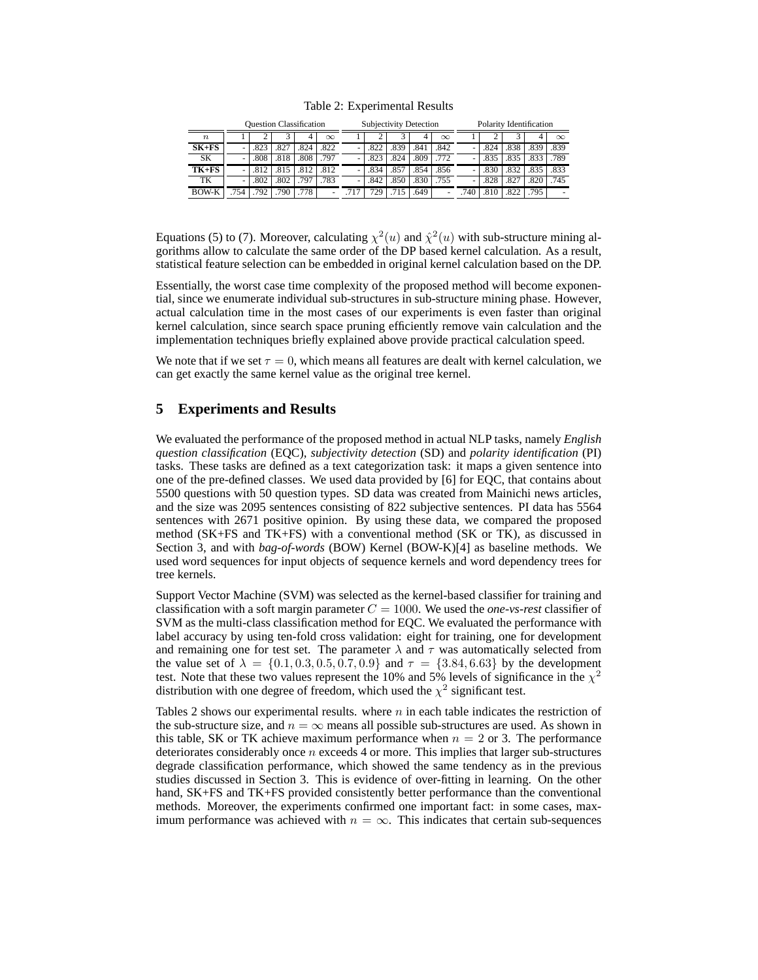|  | Table 2: Experimental Results |  |
|--|-------------------------------|--|
|--|-------------------------------|--|

|                  | <b>Ouestion Classification</b> |      |      |      |          | Subjectivity Detection |      |      |      | Polarity Identification |     |      |      |      |          |
|------------------|--------------------------------|------|------|------|----------|------------------------|------|------|------|-------------------------|-----|------|------|------|----------|
| $\boldsymbol{n}$ |                                |      |      | 4    | $\infty$ |                        |      |      |      | $\infty$                |     |      |      |      | $\infty$ |
| $SK+FS$          | ۰                              | .823 | .827 | .824 | .822     |                        | .822 | .839 | .841 | .842                    | ۰   | .824 | .838 | .839 | .839     |
| SK               | ٠                              | .808 | .818 | .808 | .797     |                        | .823 | .824 | .809 | .772                    | ۰   | .835 | .835 | .833 | .789     |
| $TK+FS$          | ۰                              | .812 | .815 | .812 | .812     |                        | .834 | .857 | .854 | .856                    | -   | .830 | .832 | .835 | .833     |
| TK               | ٠                              | .802 | .802 | 797  | 783      |                        | .842 | .850 | .830 | .755                    | ٠   | .828 | .827 | .820 | .745     |
| <b>BOW-K</b>     | 754                            | 792  | 790  | 778  |          |                        | 729  | .715 | .649 | -                       | 740 |      | .822 | 795  |          |

Equations (5) to (7). Moreover, calculating  $\chi^2(u)$  and  $\hat{\chi}^2(u)$  with sub-structure mining algorithms allow to calculate the same order of the DP based kernel calculation. As a result, statistical feature selection can be embedded in original kernel calculation based on the DP.

Essentially, the worst case time complexity of the proposed method will become exponential, since we enumerate individual sub-structures in sub-structure mining phase. However, actual calculation time in the most cases of our experiments is even faster than original kernel calculation, since search space pruning efficiently remove vain calculation and the implementation techniques briefly explained above provide practical calculation speed.

We note that if we set  $\tau = 0$ , which means all features are dealt with kernel calculation, we can get exactly the same kernel value as the original tree kernel.

#### **5 Experiments and Results**

We evaluated the performance of the proposed method in actual NLP tasks, namely *English question classification* (EQC), *subjectivity detection* (SD) and *polarity identification* (PI) tasks. These tasks are defined as a text categorization task: it maps a given sentence into one of the pre-defined classes. We used data provided by [6] for EQC, that contains about 5500 questions with 50 question types. SD data was created from Mainichi news articles, and the size was 2095 sentences consisting of 822 subjective sentences. PI data has 5564 sentences with 2671 positive opinion. By using these data, we compared the proposed method (SK+FS and TK+FS) with a conventional method (SK or TK), as discussed in Section 3, and with *bag-of-words* (BOW) Kernel (BOW-K)[4] as baseline methods. We used word sequences for input objects of sequence kernels and word dependency trees for tree kernels.

Support Vector Machine (SVM) was selected as the kernel-based classifier for training and classification with a soft margin parameter  $C = 1000$ . We used the *one-vs-rest* classifier of SVM as the multi-class classification method for EQC. We evaluated the performance with label accuracy by using ten-fold cross validation: eight for training, one for development and remaining one for test set. The parameter  $\lambda$  and  $\tau$  was automatically selected from the value set of  $\lambda = \{0.1, 0.3, 0.5, 0.7, 0.9\}$  and  $\tau = \{3.84, 6.63\}$  by the development test. Note that these two values represent the 10% and 5% levels of significance in the  $\chi^2$ distribution with one degree of freedom, which used the  $\chi^2$  significant test.

Tables 2 shows our experimental results. where  $n$  in each table indicates the restriction of the sub-structure size, and  $n = \infty$  means all possible sub-structures are used. As shown in this table, SK or TK achieve maximum performance when  $n = 2$  or 3. The performance deteriorates considerably once  $n$  exceeds 4 or more. This implies that larger sub-structures degrade classification performance, which showed the same tendency as in the previous studies discussed in Section 3. This is evidence of over-fitting in learning. On the other hand, SK+FS and TK+FS provided consistently better performance than the conventional methods. Moreover, the experiments confirmed one important fact: in some cases, maximum performance was achieved with  $n = \infty$ . This indicates that certain sub-sequences